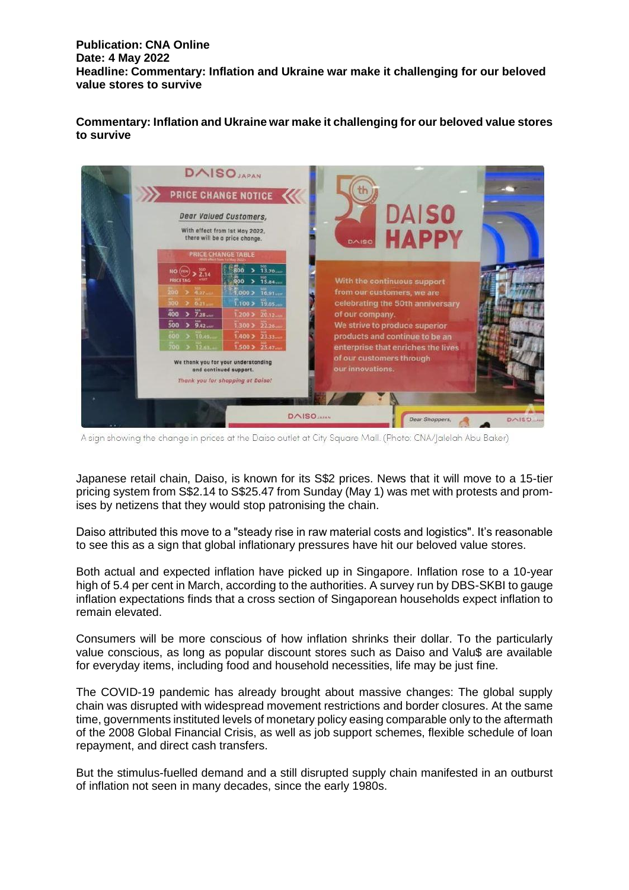**Commentary: Inflation and Ukraine war make it challenging for our beloved value stores to survive**

| <b>DAISO</b> JAPAN<br>PRICE CHANGE NOTICE<br><b>Dear Valued Customers,</b><br>With effect from 1st May 2022,<br>there will be a price change.<br>PRICE CHANGE TABLE                                                                                                                                                                                                                                                                           | <b>DAISO</b><br><b>DAISO HAPPY</b>                                                                                                                                                                                                                                        |       |
|-----------------------------------------------------------------------------------------------------------------------------------------------------------------------------------------------------------------------------------------------------------------------------------------------------------------------------------------------------------------------------------------------------------------------------------------------|---------------------------------------------------------------------------------------------------------------------------------------------------------------------------------------------------------------------------------------------------------------------------|-------|
| 13.70<br>800<br>2.14<br>NO (YEN)<br>15.84<br><b>PRICE TAG</b><br>900<br>16.91-<br>$200$ > $4.07$<br>0.0003<br>$1,100$ $\frac{19.05}{19.05}$<br>$300 \rightarrow 621$<br>$400$ > $7.28$<br>$1,200$ > $20.12$<br>$500$ > $9.42$ -<br>$1,300$ > $22.26$<br>$1,400$ > $23.33$<br>600 > 10.49<br>$700 \rightarrow 12.51$<br>$1,500$ > $25.47$<br>We thank you for your understanding<br>and continued support.<br>Thank you for shopping at Daiso! | With the continuous support<br>from our customers, we are<br>celebrating the 50th anniversary<br>of our company.<br>We strive to produce superior<br>products and continue to be an<br>enterprise that enriches the lives<br>of our customers through<br>our innovations. |       |
| <b>DAISO</b>                                                                                                                                                                                                                                                                                                                                                                                                                                  | <b>Dear Shoppers</b>                                                                                                                                                                                                                                                      | DAISO |

A sign showing the change in prices at the Daiso outlet at City Square Mall. (Photo: CNA/Jalelah Abu Baker)

Japanese retail chain, Daiso, is known for its S\$2 prices. News that it will move to a 15-tier pricing system from S\$2.14 to S\$25.47 from Sunday (May 1) was met with protests and promises by netizens that they would stop patronising the chain.

Daiso attributed this move to a "steady rise in raw material costs and logistics". It's reasonable to see this as a sign that global inflationary pressures have hit our beloved value stores.

Both actual and expected inflation have picked up in Singapore. Inflation rose to a 10-year high of 5.4 per cent in March, according to the authorities. A survey run by DBS-SKBI to gauge inflation expectations finds that a cross section of Singaporean households expect inflation to remain elevated.

Consumers will be more conscious of how inflation shrinks their dollar. To the particularly value conscious, as long as popular discount stores such as Daiso and Valu\$ are available for everyday items, including food and household necessities, life may be just fine.

The COVID-19 pandemic has already brought about massive changes: The global supply chain was disrupted with widespread movement restrictions and border closures. At the same time, governments instituted levels of monetary policy easing comparable only to the aftermath of the 2008 Global Financial Crisis, as well as job support schemes, flexible schedule of loan repayment, and direct cash transfers.

But the stimulus-fuelled demand and a still disrupted supply chain manifested in an outburst of inflation not seen in many decades, since the early 1980s.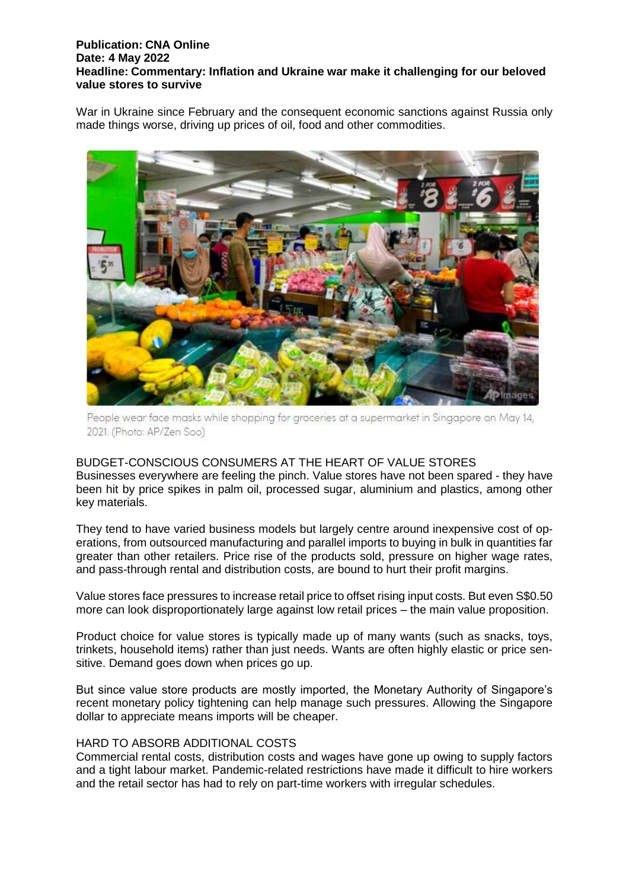War in Ukraine since February and the consequent economic sanctions against Russia only made things worse, driving up prices of oil, food and other commodities.



People wear face masks while shopping for groceries at a supermarket in Singapore on May 14, 2021. (Photo: AP/Zen Soo)

# BUDGET-CONSCIOUS CONSUMERS AT THE HEART OF VALUE STORES

Businesses everywhere are feeling the pinch. Value stores have not been spared - they have been hit by price spikes in palm oil, processed sugar, aluminium and plastics, among other key materials.

They tend to have varied business models but largely centre around inexpensive cost of operations, from outsourced manufacturing and parallel imports to buying in bulk in quantities far greater than other retailers. Price rise of the products sold, pressure on higher wage rates, and pass-through rental and distribution costs, are bound to hurt their profit margins.

Value stores face pressures to increase retail price to offset rising input costs. But even S\$0.50 more can look disproportionately large against low retail prices – the main value proposition.

Product choice for value stores is typically made up of many wants (such as snacks, toys, trinkets, household items) rather than just needs. Wants are often highly elastic or price sensitive. Demand goes down when prices go up.

But since value store products are mostly imported, the Monetary Authority of Singapore's recent monetary policy tightening can help manage such pressures. Allowing the Singapore dollar to appreciate means imports will be cheaper.

## HARD TO ABSORB ADDITIONAL COSTS

Commercial rental costs, distribution costs and wages have gone up owing to supply factors and a tight labour market. Pandemic-related restrictions have made it difficult to hire workers and the retail sector has had to rely on part-time workers with irregular schedules.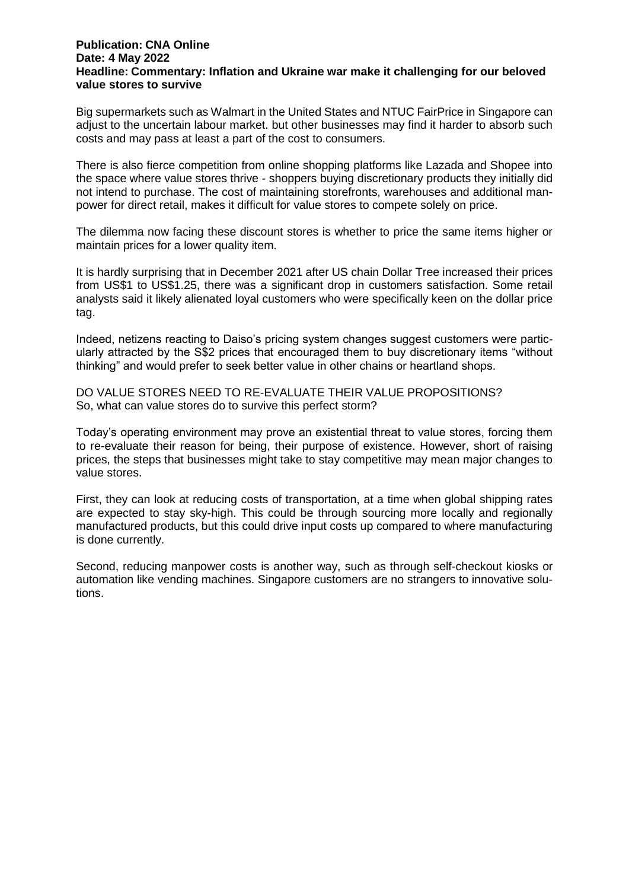Big supermarkets such as Walmart in the United States and NTUC FairPrice in Singapore can adjust to the uncertain labour market. but other businesses may find it harder to absorb such costs and may pass at least a part of the cost to consumers.

There is also fierce competition from online shopping platforms like Lazada and Shopee into the space where value stores thrive - shoppers buying discretionary products they initially did not intend to purchase. The cost of maintaining storefronts, warehouses and additional manpower for direct retail, makes it difficult for value stores to compete solely on price.

The dilemma now facing these discount stores is whether to price the same items higher or maintain prices for a lower quality item.

It is hardly surprising that in December 2021 after US chain Dollar Tree increased their prices from US\$1 to US\$1.25, there was a significant drop in customers satisfaction. Some retail analysts said it likely alienated loyal customers who were specifically keen on the dollar price tag.

Indeed, netizens reacting to Daiso's pricing system changes suggest customers were particularly attracted by the S\$2 prices that encouraged them to buy discretionary items "without thinking" and would prefer to seek better value in other chains or heartland shops.

DO VALUE STORES NEED TO RE-EVALUATE THEIR VALUE PROPOSITIONS? So, what can value stores do to survive this perfect storm?

Today's operating environment may prove an existential threat to value stores, forcing them to re-evaluate their reason for being, their purpose of existence. However, short of raising prices, the steps that businesses might take to stay competitive may mean major changes to value stores.

First, they can look at reducing costs of transportation, at a time when global shipping rates are expected to stay sky-high. This could be through sourcing more locally and regionally manufactured products, but this could drive input costs up compared to where manufacturing is done currently.

Second, reducing manpower costs is another way, such as through self-checkout kiosks or automation like vending machines. Singapore customers are no strangers to innovative solutions.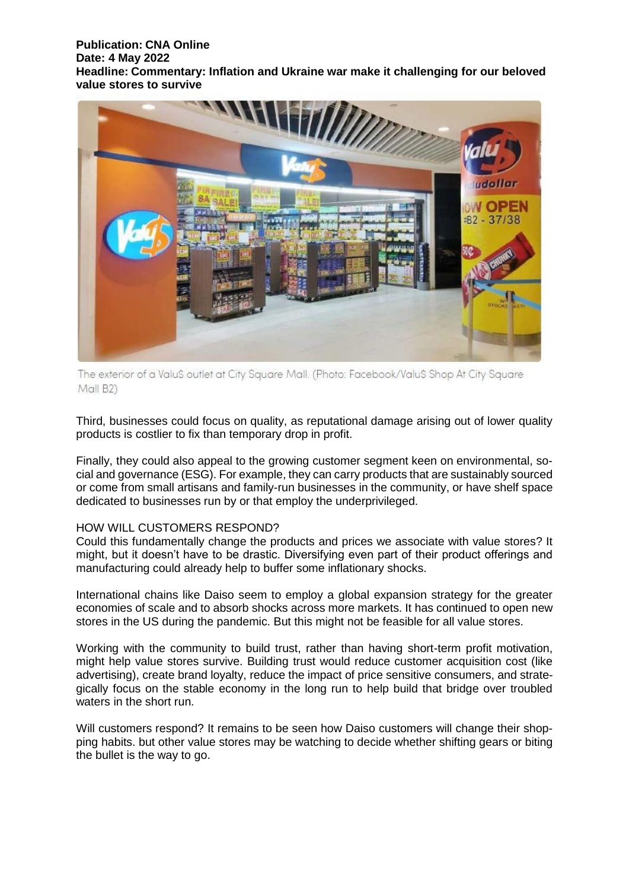

The exterior of a Valu\$ outlet at City Square Mall. (Photo: Facebook/Valu\$ Shop At City Square Mall B2)

Third, businesses could focus on quality, as reputational damage arising out of lower quality products is costlier to fix than temporary drop in profit.

Finally, they could also appeal to the growing customer segment keen on environmental, social and governance (ESG). For example, they can carry products that are sustainably sourced or come from small artisans and family-run businesses in the community, or have shelf space dedicated to businesses run by or that employ the underprivileged.

## HOW WILL CUSTOMERS RESPOND?

Could this fundamentally change the products and prices we associate with value stores? It might, but it doesn't have to be drastic. Diversifying even part of their product offerings and manufacturing could already help to buffer some inflationary shocks.

International chains like Daiso seem to employ a global expansion strategy for the greater economies of scale and to absorb shocks across more markets. It has continued to open new stores in the US during the pandemic. But this might not be feasible for all value stores.

Working with the community to build trust, rather than having short-term profit motivation, might help value stores survive. Building trust would reduce customer acquisition cost (like advertising), create brand loyalty, reduce the impact of price sensitive consumers, and strategically focus on the stable economy in the long run to help build that bridge over troubled waters in the short run.

Will customers respond? It remains to be seen how Daiso customers will change their shopping habits. but other value stores may be watching to decide whether shifting gears or biting the bullet is the way to go.